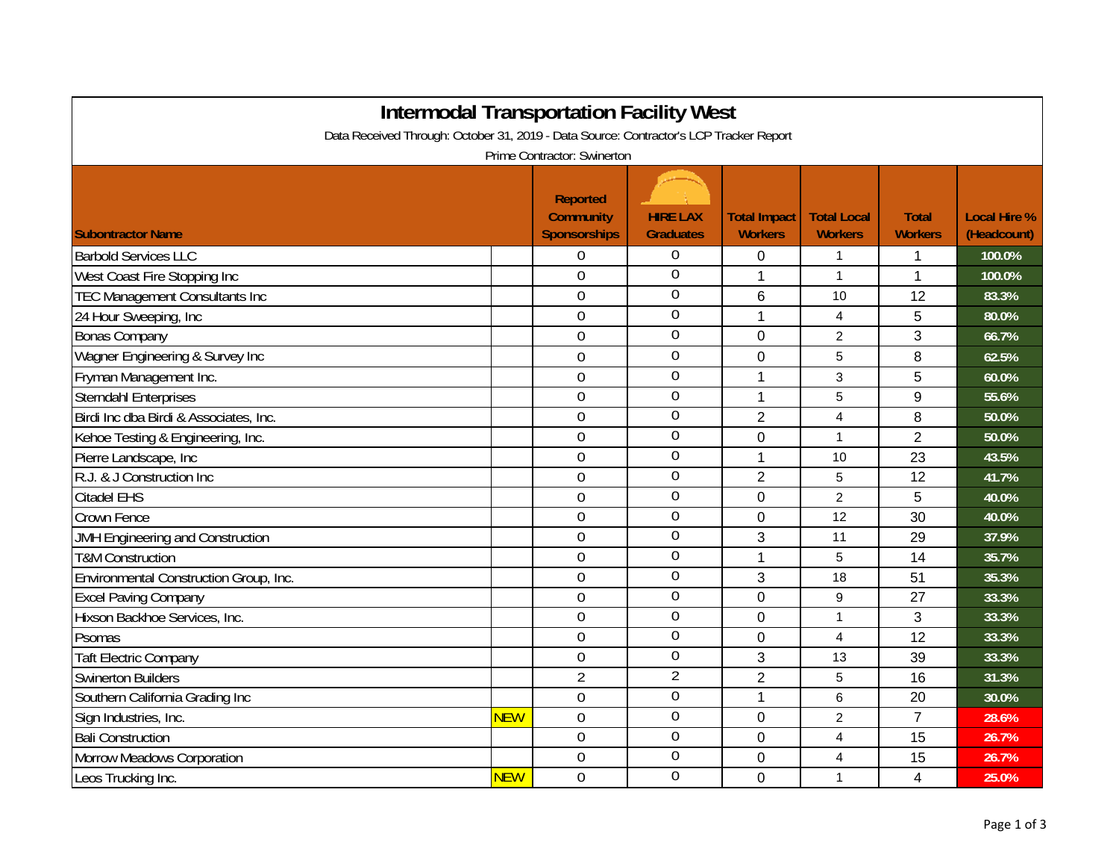| <b>Intermodal Transportation Facility West</b>                                                                        |            |                |                  |                |                |                |        |  |  |
|-----------------------------------------------------------------------------------------------------------------------|------------|----------------|------------------|----------------|----------------|----------------|--------|--|--|
| Data Received Through: October 31, 2019 - Data Source: Contractor's LCP Tracker Report<br>Prime Contractor: Swinerton |            |                |                  |                |                |                |        |  |  |
|                                                                                                                       |            |                |                  |                |                |                |        |  |  |
| <b>Barbold Services LLC</b>                                                                                           |            | 0              | $\overline{0}$   | $\Omega$       | 1              | 1              | 100.0% |  |  |
| West Coast Fire Stopping Inc                                                                                          |            | 0              | $\overline{0}$   | 1              | $\mathbf{1}$   | 1              | 100.0% |  |  |
| <b>TEC Management Consultants Inc</b>                                                                                 |            | $\mathbf 0$    | $\overline{0}$   | 6              | 10             | 12             | 83.3%  |  |  |
| 24 Hour Sweeping, Inc                                                                                                 |            | 0              | $\theta$         | 1              | 4              | 5              | 80.0%  |  |  |
| <b>Bonas Company</b>                                                                                                  |            | 0              | $\boldsymbol{0}$ | $\overline{0}$ | $\overline{c}$ | 3              | 66.7%  |  |  |
| Wagner Engineering & Survey Inc                                                                                       |            | $\overline{0}$ | $\mathbf 0$      | $\overline{0}$ | 5              | 8              | 62.5%  |  |  |
| Fryman Management Inc.                                                                                                |            | $\overline{0}$ | $\overline{0}$   | 1              | 3              | 5              | 60.0%  |  |  |
| <b>Sterndahl Enterprises</b>                                                                                          |            | $\overline{0}$ | $\overline{0}$   | 1              | 5              | 9              | 55.6%  |  |  |
| Birdi Inc dba Birdi & Associates, Inc.                                                                                |            | $\mathbf 0$    | $\overline{0}$   | $\overline{2}$ | 4              | 8              | 50.0%  |  |  |
| Kehoe Testing & Engineering, Inc.                                                                                     |            | 0              | 0                | 0              | $\mathbf{1}$   | $\overline{2}$ | 50.0%  |  |  |
| Pierre Landscape, Inc                                                                                                 |            | $\mathbf 0$    | $\boldsymbol{0}$ | 1              | 10             | 23             | 43.5%  |  |  |
| R.J. & J Construction Inc                                                                                             |            | $\mathbf 0$    | $\overline{0}$   | $\overline{2}$ | 5              | 12             | 41.7%  |  |  |
| <b>Citadel EHS</b>                                                                                                    |            | 0              | $\mathbf 0$      | $\overline{0}$ | $\overline{2}$ | 5              | 40.0%  |  |  |
| <b>Crown Fence</b>                                                                                                    |            | $\overline{0}$ | $\overline{0}$   | $\Omega$       | 12             | 30             | 40.0%  |  |  |
| JMH Engineering and Construction                                                                                      |            | 0              | $\overline{0}$   | 3              | 11             | 29             | 37.9%  |  |  |
| <b>T&amp;M Construction</b>                                                                                           |            | 0              | 0                | $\mathbf{1}$   | 5              | 14             | 35.7%  |  |  |
| Environmental Construction Group, Inc.                                                                                |            | 0              | $\overline{0}$   | 3              | 18             | 51             | 35.3%  |  |  |
| <b>Excel Paving Company</b>                                                                                           |            | 0              | $\boldsymbol{0}$ | $\overline{0}$ | 9              | 27             | 33.3%  |  |  |
| Hixson Backhoe Services, Inc.                                                                                         |            | 0              | $\overline{0}$   | $\overline{0}$ | 1              | 3              | 33.3%  |  |  |
| Psomas                                                                                                                |            | $\overline{0}$ | $\overline{0}$   | 0              | 4              | 12             | 33.3%  |  |  |
| <b>Taft Electric Company</b>                                                                                          |            | $\overline{0}$ | $\mathbf 0$      | 3              | 13             | 39             | 33.3%  |  |  |
| <b>Swinerton Builders</b>                                                                                             |            | $\overline{2}$ | 2                | $\overline{2}$ | 5              | 16             | 31.3%  |  |  |
| Southern California Grading Inc                                                                                       |            | $\overline{0}$ | $\overline{0}$   | 1              | 6              | 20             | 30.0%  |  |  |
| Sign Industries, Inc.                                                                                                 | <b>NEW</b> | 0              | $\overline{0}$   | $\mathbf 0$    | $\overline{2}$ | $\overline{7}$ | 28.6%  |  |  |
| <b>Bali Construction</b>                                                                                              |            | $\overline{0}$ | $\overline{0}$   | $\mathbf 0$    | 4              | 15             | 26.7%  |  |  |
| <b>Morrow Meadows Corporation</b>                                                                                     |            | 0              | $\boldsymbol{0}$ | $\mathbf 0$    | 4              | 15             | 26.7%  |  |  |
| Leos Trucking Inc.                                                                                                    | <b>NEW</b> | $\overline{0}$ | $\overline{0}$   | 0              | 1              | 4              | 25.0%  |  |  |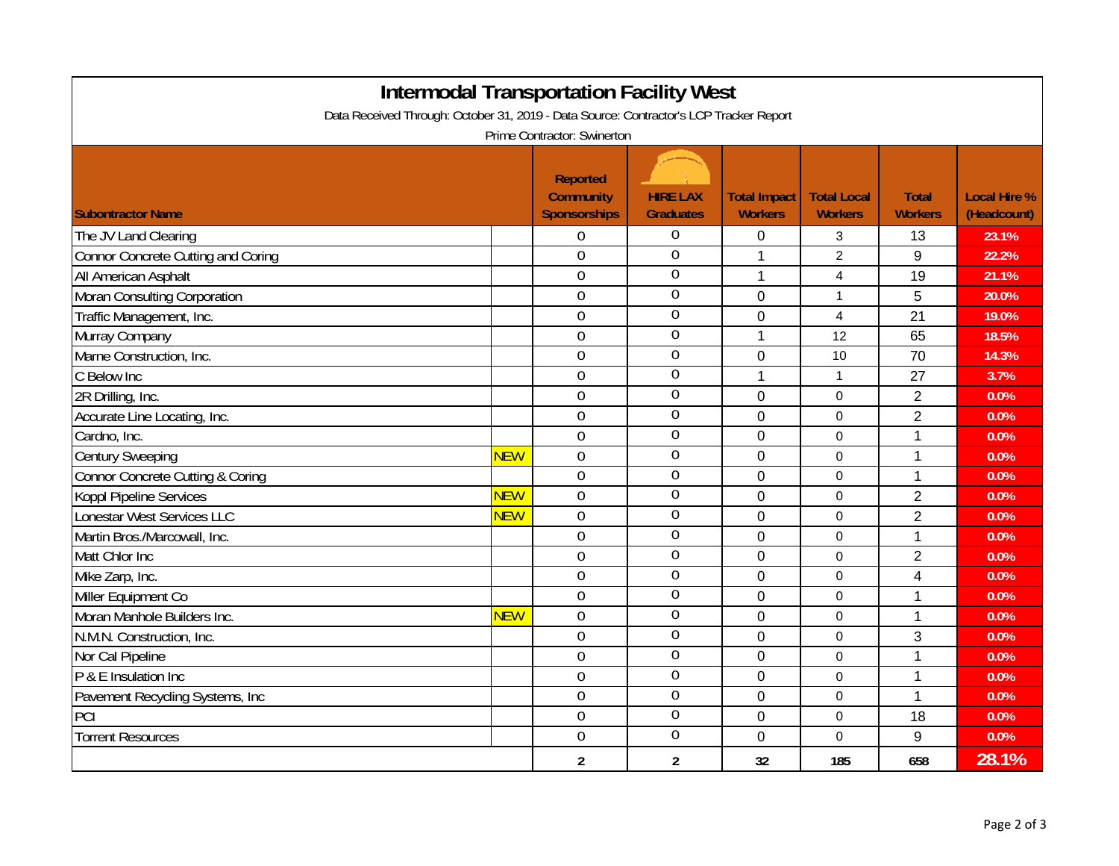| <b>Intermodal Transportation Facility West</b>                                         |            |                                                     |                                     |                                       |                                      |                                |                                    |  |  |
|----------------------------------------------------------------------------------------|------------|-----------------------------------------------------|-------------------------------------|---------------------------------------|--------------------------------------|--------------------------------|------------------------------------|--|--|
| Data Received Through: October 31, 2019 - Data Source: Contractor's LCP Tracker Report |            |                                                     |                                     |                                       |                                      |                                |                                    |  |  |
| Prime Contractor: Swinerton                                                            |            |                                                     |                                     |                                       |                                      |                                |                                    |  |  |
| <b>Subontractor Name</b>                                                               |            | Reported<br><b>Community</b><br><b>Sponsorships</b> | <b>HIRE LAX</b><br><b>Graduates</b> | <b>Total Impact</b><br><b>Workers</b> | <b>Total Local</b><br><b>Workers</b> | <b>Total</b><br><b>Workers</b> | <b>Local Hire %</b><br>(Headcount) |  |  |
| The JV Land Clearing                                                                   |            | $\boldsymbol{0}$                                    | $\overline{0}$                      |                                       |                                      | 13                             | 23.1%                              |  |  |
|                                                                                        |            | $\mathbf 0$                                         | $\overline{0}$                      | 0<br>1                                | 3<br>$\overline{2}$                  | 9                              | 22.2%                              |  |  |
| Connor Concrete Cutting and Coring                                                     |            | $\mathbf 0$                                         | $\overline{0}$                      |                                       |                                      | 19                             |                                    |  |  |
| All American Asphalt                                                                   |            | $\boldsymbol{0}$                                    | $\overline{0}$                      | 1                                     | 4                                    |                                | 21.1%                              |  |  |
| Moran Consulting Corporation                                                           |            | $\boldsymbol{0}$                                    | $\boldsymbol{0}$                    | 0                                     | 1                                    | 5                              | 20.0%<br>19.0%                     |  |  |
| Traffic Management, Inc.                                                               |            | $\mathbf 0$                                         | $\mathbf 0$                         | 0                                     | 4<br>12                              | 21<br>65                       | 18.5%                              |  |  |
| Murray Company<br>Marne Construction, Inc.                                             |            | $\overline{0}$                                      | $\overline{0}$                      | 1                                     |                                      | 70                             | 14.3%                              |  |  |
| C Below Inc                                                                            |            | $\mathbf 0$                                         | 0                                   | 0<br>1                                | 10                                   |                                | 3.7%                               |  |  |
| 2R Drilling, Inc.                                                                      |            | $\boldsymbol{0}$                                    | $\overline{0}$                      | 0                                     | $\mathbf{1}$<br>$\Omega$             | 27<br>$\overline{2}$           |                                    |  |  |
| Accurate Line Locating, Inc.                                                           |            | $\boldsymbol{0}$                                    | $\overline{0}$                      | 0                                     |                                      | $\overline{2}$                 | 0.0%<br>0.0%                       |  |  |
| Cardno, Inc.                                                                           |            | $\boldsymbol{0}$                                    | $\boldsymbol{0}$                    | 0                                     | 0<br>$\mathbf 0$                     | 1                              | 0.0%                               |  |  |
| <b>Century Sweeping</b>                                                                | <b>NEW</b> | $\mathbf 0$                                         | $\boldsymbol{0}$                    | 0                                     | 0                                    | $\mathbf{1}$                   | 0.0%                               |  |  |
| Connor Concrete Cutting & Coring                                                       |            | $\mathbf 0$                                         | $\overline{0}$                      | 0                                     | 0                                    | $\mathbf{1}$                   | 0.0%                               |  |  |
| Koppl Pipeline Services                                                                | <b>NEW</b> | $\overline{0}$                                      | $\mathbf 0$                         | 0                                     | $\mathbf 0$                          | $\overline{2}$                 | 0.0%                               |  |  |
| Lonestar West Services LLC                                                             | <b>NEW</b> | $\overline{0}$                                      | $\mathbf 0$                         | 0                                     | $\Omega$                             | $\overline{2}$                 | 0.0%                               |  |  |
| Martin Bros./Marcowall, Inc.                                                           |            | $\mathbf 0$                                         | $\overline{0}$                      | 0                                     | $\mathbf 0$                          | $\mathbf{1}$                   | 0.0%                               |  |  |
| Matt Chlor Inc                                                                         |            | $\mathbf 0$                                         | $\boldsymbol{0}$                    | 0                                     | $\mathbf 0$                          | $\overline{2}$                 | 0.0%                               |  |  |
| Mike Zarp, Inc.                                                                        |            | $\mathbf 0$                                         | $\boldsymbol{0}$                    | 0                                     | $\mathbf 0$                          | 4                              | 0.0%                               |  |  |
| Miller Equipment Co                                                                    |            | $\mathbf 0$                                         | $\mathbf 0$                         | 0                                     | 0                                    | $\mathbf{1}$                   | 0.0%                               |  |  |
| Moran Manhole Builders Inc.                                                            | <b>NEW</b> | $\overline{0}$                                      | 0                                   | 0                                     | $\Omega$                             | $\mathbf 1$                    | 0.0%                               |  |  |
| N.M.N. Construction, Inc.                                                              |            | $\boldsymbol{0}$                                    | $\overline{0}$                      | 0                                     | $\Omega$                             | 3                              | 0.0%                               |  |  |
| Nor Cal Pipeline                                                                       |            | $\boldsymbol{0}$                                    | $\mathbf 0$                         | 0                                     | 0                                    | $\mathbf{1}$                   | 0.0%                               |  |  |
| P & E Insulation Inc                                                                   |            | $\boldsymbol{0}$                                    | $\boldsymbol{0}$                    | 0                                     | $\mathbf 0$                          | $\mathbf{1}$                   | 0.0%                               |  |  |
| Pavement Recycling Systems, Inc                                                        |            | $\boldsymbol{0}$                                    | $\boldsymbol{0}$                    | 0                                     | 0                                    | $\mathbf{1}$                   | 0.0%                               |  |  |
| PCI                                                                                    |            | $\mathbf 0$                                         | $\mathbf 0$                         | 0                                     | $\mathbf 0$                          | 18                             | 0.0%                               |  |  |
| <b>Torrent Resources</b>                                                               |            | $\overline{0}$                                      | $\overline{0}$                      | 0                                     | $\Omega$                             | 9                              | 0.0%                               |  |  |
|                                                                                        |            | $\overline{2}$                                      | $\overline{2}$                      | 32                                    | 185                                  | 658                            | 28.1%                              |  |  |